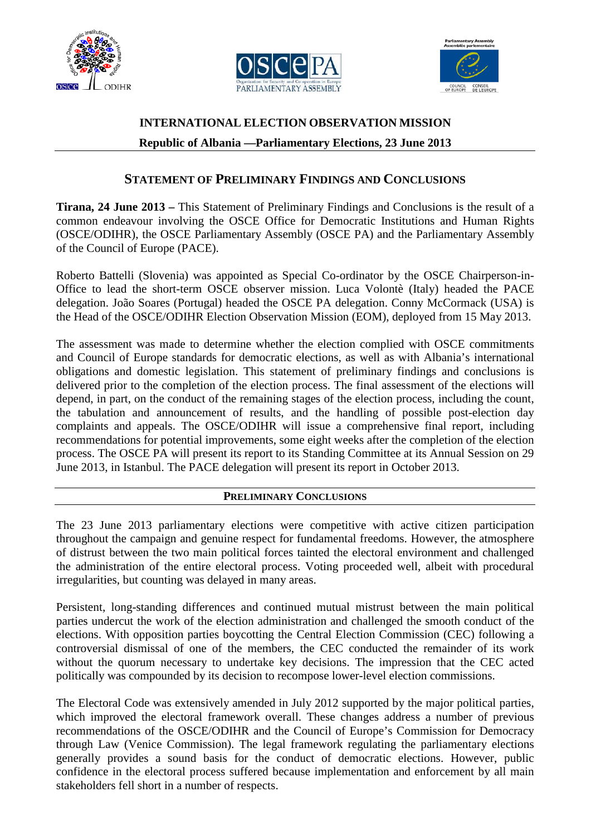





# **INTERNATIONAL ELECTION OBSERVATION MISSION Republic of Albania —Parliamentary Elections, 23 June 2013**

## **STATEMENT OF PRELIMINARY FINDINGS AND CONCLUSIONS**

**Tirana, 24 June 2013 –** This Statement of Preliminary Findings and Conclusions is the result of a common endeavour involving the OSCE Office for Democratic Institutions and Human Rights (OSCE/ODIHR), the OSCE Parliamentary Assembly (OSCE PA) and the Parliamentary Assembly of the Council of Europe (PACE).

Roberto Battelli (Slovenia) was appointed as Special Co-ordinator by the OSCE Chairperson-in-Office to lead the short-term OSCE observer mission. Luca Volontè (Italy) headed the PACE delegation. João Soares (Portugal) headed the OSCE PA delegation. Conny McCormack (USA) is the Head of the OSCE/ODIHR Election Observation Mission (EOM), deployed from 15 May 2013.

The assessment was made to determine whether the election complied with OSCE commitments and Council of Europe standards for democratic elections, as well as with Albania's international obligations and domestic legislation. This statement of preliminary findings and conclusions is delivered prior to the completion of the election process. The final assessment of the elections will depend, in part, on the conduct of the remaining stages of the election process, including the count, the tabulation and announcement of results, and the handling of possible post-election day complaints and appeals. The OSCE/ODIHR will issue a comprehensive final report, including recommendations for potential improvements, some eight weeks after the completion of the election process. The OSCE PA will present its report to its Standing Committee at its Annual Session on 29 June 2013, in Istanbul. The PACE delegation will present its report in October 2013.

### **PRELIMINARY CONCLUSIONS**

The 23 June 2013 parliamentary elections were competitive with active citizen participation throughout the campaign and genuine respect for fundamental freedoms. However, the atmosphere of distrust between the two main political forces tainted the electoral environment and challenged the administration of the entire electoral process. Voting proceeded well, albeit with procedural irregularities, but counting was delayed in many areas.

Persistent, long-standing differences and continued mutual mistrust between the main political parties undercut the work of the election administration and challenged the smooth conduct of the elections. With opposition parties boycotting the Central Election Commission (CEC) following a controversial dismissal of one of the members, the CEC conducted the remainder of its work without the quorum necessary to undertake key decisions. The impression that the CEC acted politically was compounded by its decision to recompose lower-level election commissions.

The Electoral Code was extensively amended in July 2012 supported by the major political parties, which improved the electoral framework overall. These changes address a number of previous recommendations of the OSCE/ODIHR and the Council of Europe's Commission for Democracy through Law (Venice Commission). The legal framework regulating the parliamentary elections generally provides a sound basis for the conduct of democratic elections. However, public confidence in the electoral process suffered because implementation and enforcement by all main stakeholders fell short in a number of respects.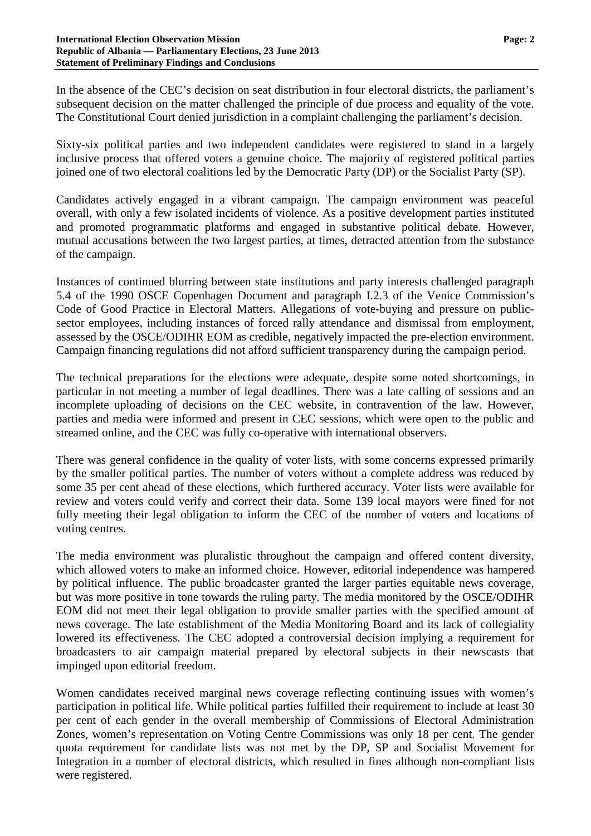In the absence of the CEC's decision on seat distribution in four electoral districts, the parliament's subsequent decision on the matter challenged the principle of due process and equality of the vote. The Constitutional Court denied jurisdiction in a complaint challenging the parliament's decision.

Sixty-six political parties and two independent candidates were registered to stand in a largely inclusive process that offered voters a genuine choice. The majority of registered political parties joined one of two electoral coalitions led by the Democratic Party (DP) or the Socialist Party (SP).

Candidates actively engaged in a vibrant campaign. The campaign environment was peaceful overall, with only a few isolated incidents of violence. As a positive development parties instituted and promoted programmatic platforms and engaged in substantive political debate. However, mutual accusations between the two largest parties, at times, detracted attention from the substance of the campaign.

Instances of continued blurring between state institutions and party interests challenged paragraph 5.4 of the 1990 OSCE Copenhagen Document and paragraph I.2.3 of the Venice Commission's Code of Good Practice in Electoral Matters. Allegations of vote-buying and pressure on publicsector employees, including instances of forced rally attendance and dismissal from employment, assessed by the OSCE/ODIHR EOM as credible, negatively impacted the pre-election environment. Campaign financing regulations did not afford sufficient transparency during the campaign period.

The technical preparations for the elections were adequate, despite some noted shortcomings, in particular in not meeting a number of legal deadlines. There was a late calling of sessions and an incomplete uploading of decisions on the CEC website, in contravention of the law. However, parties and media were informed and present in CEC sessions, which were open to the public and streamed online, and the CEC was fully co-operative with international observers.

There was general confidence in the quality of voter lists, with some concerns expressed primarily by the smaller political parties. The number of voters without a complete address was reduced by some 35 per cent ahead of these elections, which furthered accuracy. Voter lists were available for review and voters could verify and correct their data. Some 139 local mayors were fined for not fully meeting their legal obligation to inform the CEC of the number of voters and locations of voting centres.

The media environment was pluralistic throughout the campaign and offered content diversity, which allowed voters to make an informed choice. However, editorial independence was hampered by political influence. The public broadcaster granted the larger parties equitable news coverage, but was more positive in tone towards the ruling party. The media monitored by the OSCE/ODIHR EOM did not meet their legal obligation to provide smaller parties with the specified amount of news coverage. The late establishment of the Media Monitoring Board and its lack of collegiality lowered its effectiveness. The CEC adopted a controversial decision implying a requirement for broadcasters to air campaign material prepared by electoral subjects in their newscasts that impinged upon editorial freedom.

Women candidates received marginal news coverage reflecting continuing issues with women's participation in political life. While political parties fulfilled their requirement to include at least 30 per cent of each gender in the overall membership of Commissions of Electoral Administration Zones, women's representation on Voting Centre Commissions was only 18 per cent. The gender quota requirement for candidate lists was not met by the DP, SP and Socialist Movement for Integration in a number of electoral districts, which resulted in fines although non-compliant lists were registered.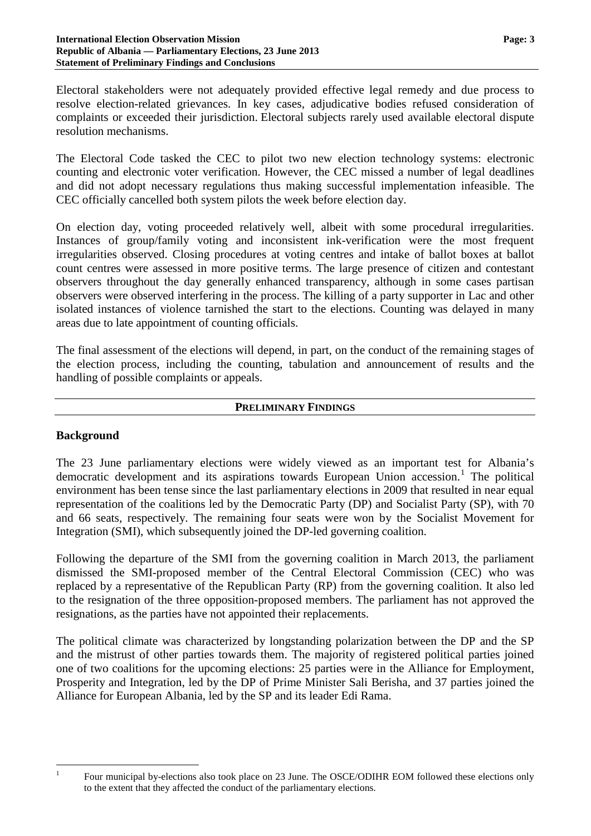Electoral stakeholders were not adequately provided effective legal remedy and due process to resolve election-related grievances. In key cases, adjudicative bodies refused consideration of complaints or exceeded their jurisdiction. Electoral subjects rarely used available electoral dispute resolution mechanisms.

The Electoral Code tasked the CEC to pilot two new election technology systems: electronic counting and electronic voter verification. However, the CEC missed a number of legal deadlines and did not adopt necessary regulations thus making successful implementation infeasible. The CEC officially cancelled both system pilots the week before election day.

On election day, voting proceeded relatively well, albeit with some procedural irregularities. Instances of group/family voting and inconsistent ink-verification were the most frequent irregularities observed. Closing procedures at voting centres and intake of ballot boxes at ballot count centres were assessed in more positive terms. The large presence of citizen and contestant observers throughout the day generally enhanced transparency, although in some cases partisan observers were observed interfering in the process. The killing of a party supporter in Lac and other isolated instances of violence tarnished the start to the elections. Counting was delayed in many areas due to late appointment of counting officials.

The final assessment of the elections will depend, in part, on the conduct of the remaining stages of the election process, including the counting, tabulation and announcement of results and the handling of possible complaints or appeals.

#### **PRELIMINARY FINDINGS**

#### **Background**

The 23 June parliamentary elections were widely viewed as an important test for Albania's democratic development and its aspirations towards European Union accession.<sup>[1](#page-2-0)</sup> The political environment has been tense since the last parliamentary elections in 2009 that resulted in near equal representation of the coalitions led by the Democratic Party (DP) and Socialist Party (SP), with 70 and 66 seats, respectively. The remaining four seats were won by the Socialist Movement for Integration (SMI), which subsequently joined the DP-led governing coalition.

Following the departure of the SMI from the governing coalition in March 2013, the parliament dismissed the SMI-proposed member of the Central Electoral Commission (CEC) who was replaced by a representative of the Republican Party (RP) from the governing coalition. It also led to the resignation of the three opposition-proposed members. The parliament has not approved the resignations, as the parties have not appointed their replacements.

The political climate was characterized by longstanding polarization between the DP and the SP and the mistrust of other parties towards them. The majority of registered political parties joined one of two coalitions for the upcoming elections: 25 parties were in the Alliance for Employment, Prosperity and Integration, led by the DP of Prime Minister Sali Berisha, and 37 parties joined the Alliance for European Albania, led by the SP and its leader Edi Rama.

<span id="page-2-0"></span>

<sup>&</sup>lt;sup>1</sup> Four municipal by-elections also took place on 23 June. The OSCE/ODIHR EOM followed these elections only to the extent that they affected the conduct of the parliamentary elections.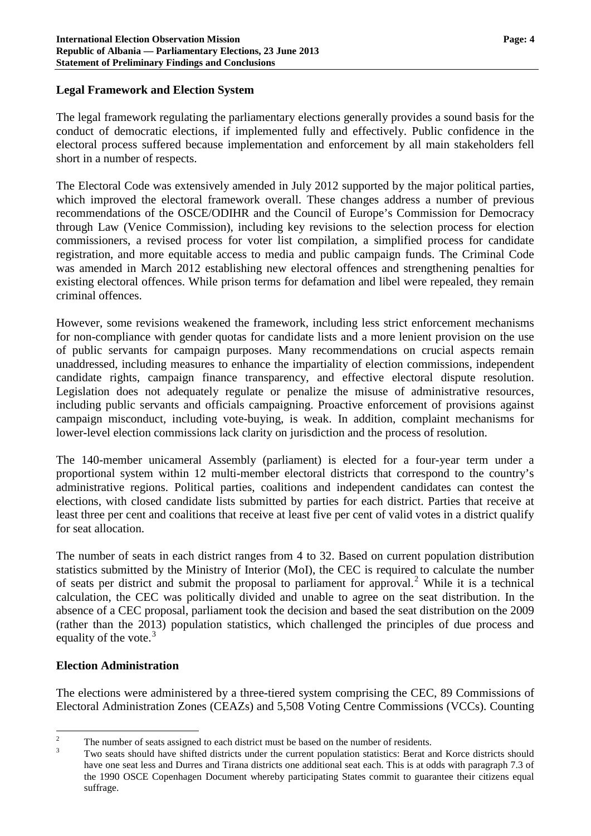#### **Legal Framework and Election System**

The legal framework regulating the parliamentary elections generally provides a sound basis for the conduct of democratic elections, if implemented fully and effectively. Public confidence in the electoral process suffered because implementation and enforcement by all main stakeholders fell short in a number of respects.

The Electoral Code was extensively amended in July 2012 supported by the major political parties, which improved the electoral framework overall. These changes address a number of previous recommendations of the OSCE/ODIHR and the Council of Europe's Commission for Democracy through Law (Venice Commission), including key revisions to the selection process for election commissioners, a revised process for voter list compilation, a simplified process for candidate registration, and more equitable access to media and public campaign funds. The Criminal Code was amended in March 2012 establishing new electoral offences and strengthening penalties for existing electoral offences. While prison terms for defamation and libel were repealed, they remain criminal offences.

However, some revisions weakened the framework, including less strict enforcement mechanisms for non-compliance with gender quotas for candidate lists and a more lenient provision on the use of public servants for campaign purposes. Many recommendations on crucial aspects remain unaddressed, including measures to enhance the impartiality of election commissions, independent candidate rights, campaign finance transparency, and effective electoral dispute resolution. Legislation does not adequately regulate or penalize the misuse of administrative resources, including public servants and officials campaigning. Proactive enforcement of provisions against campaign misconduct, including vote-buying, is weak. In addition, complaint mechanisms for lower-level election commissions lack clarity on jurisdiction and the process of resolution.

The 140-member unicameral Assembly (parliament) is elected for a four-year term under a proportional system within 12 multi-member electoral districts that correspond to the country's administrative regions. Political parties, coalitions and independent candidates can contest the elections, with closed candidate lists submitted by parties for each district. Parties that receive at least three per cent and coalitions that receive at least five per cent of valid votes in a district qualify for seat allocation.

The number of seats in each district ranges from 4 to 32. Based on current population distribution statistics submitted by the Ministry of Interior (MoI), the CEC is required to calculate the number of seats per district and submit the proposal to parliament for approval.<sup>[2](#page-3-0)</sup> While it is a technical calculation, the CEC was politically divided and unable to agree on the seat distribution. In the absence of a CEC proposal, parliament took the decision and based the seat distribution on the 2009 (rather than the 2013) population statistics, which challenged the principles of due process and equality of the vote. $3$ 

### **Election Administration**

The elections were administered by a three-tiered system comprising the CEC, 89 Commissions of Electoral Administration Zones (CEAZs) and 5,508 Voting Centre Commissions (VCCs). Counting

<span id="page-3-1"></span>

<span id="page-3-0"></span><sup>&</sup>lt;sup>2</sup> The number of seats assigned to each district must be based on the number of residents.<br><sup>3</sup> Two seats should have shifted districts under the current population statistics: Berat and Korce districts should have one seat less and Durres and Tirana districts one additional seat each. This is at odds with paragraph 7.3 of the 1990 OSCE Copenhagen Document whereby participating States commit to guarantee their citizens equal suffrage.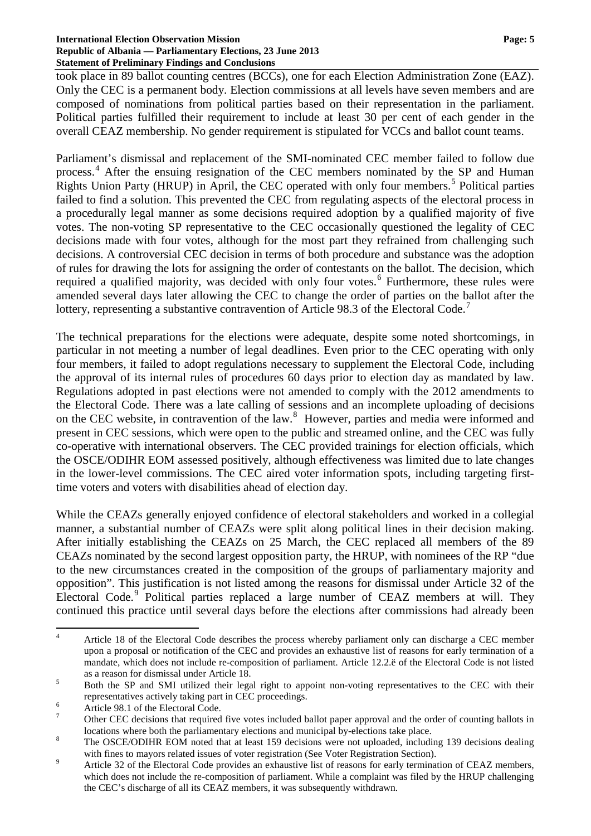#### **International Election Observation Mission Page: 5 Republic of Albania — Parliamentary Elections, 23 June 2013 Statement of Preliminary Findings and Conclusions**

took place in 89 ballot counting centres (BCCs), one for each Election Administration Zone (EAZ). Only the CEC is a permanent body. Election commissions at all levels have seven members and are composed of nominations from political parties based on their representation in the parliament. Political parties fulfilled their requirement to include at least 30 per cent of each gender in the overall CEAZ membership. No gender requirement is stipulated for VCCs and ballot count teams.

Parliament's dismissal and replacement of the SMI-nominated CEC member failed to follow due process.<sup>[4](#page-4-0)</sup> After the ensuing resignation of the CEC members nominated by the SP and Human Rights Union Party (HRUP) in April, the CEC operated with only four members.<sup>[5](#page-4-1)</sup> Political parties failed to find a solution. This prevented the CEC from regulating aspects of the electoral process in a procedurally legal manner as some decisions required adoption by a qualified majority of five votes. The non-voting SP representative to the CEC occasionally questioned the legality of CEC decisions made with four votes, although for the most part they refrained from challenging such decisions. A controversial CEC decision in terms of both procedure and substance was the adoption of rules for drawing the lots for assigning the order of contestants on the ballot. The decision, which required a qualified majority, was decided with only four votes.<sup>[6](#page-4-2)</sup> Furthermore, these rules were amended several days later allowing the CEC to change the order of parties on the ballot after the lottery, representing a substantive contravention of Article 98.3 of the Electoral Code.<sup>[7](#page-4-3)</sup>

The technical preparations for the elections were adequate, despite some noted shortcomings, in particular in not meeting a number of legal deadlines. Even prior to the CEC operating with only four members, it failed to adopt regulations necessary to supplement the Electoral Code, including the approval of its internal rules of procedures 60 days prior to election day as mandated by law. Regulations adopted in past elections were not amended to comply with the 2012 amendments to the Electoral Code. There was a late calling of sessions and an incomplete uploading of decisions on the CEC website, in contravention of the law.<sup>[8](#page-4-4)</sup> However, parties and media were informed and present in CEC sessions, which were open to the public and streamed online, and the CEC was fully co-operative with international observers. The CEC provided trainings for election officials, which the OSCE/ODIHR EOM assessed positively, although effectiveness was limited due to late changes in the lower-level commissions. The CEC aired voter information spots, including targeting firsttime voters and voters with disabilities ahead of election day.

While the CEAZs generally enjoyed confidence of electoral stakeholders and worked in a collegial manner, a substantial number of CEAZs were split along political lines in their decision making. After initially establishing the CEAZs on 25 March, the CEC replaced all members of the 89 CEAZs nominated by the second largest opposition party, the HRUP, with nominees of the RP "due to the new circumstances created in the composition of the groups of parliamentary majority and opposition". This justification is not listed among the reasons for dismissal under Article 32 of the Electoral Code.<sup>[9](#page-4-5)</sup> Political parties replaced a large number of CEAZ members at will. They continued this practice until several days before the elections after commissions had already been

<span id="page-4-0"></span><sup>&</sup>lt;sup>4</sup> Article 18 of the Electoral Code describes the process whereby parliament only can discharge a CEC member upon a proposal or notification of the CEC and provides an exhaustive list of reasons for early termination of a mandate, which does not include re-composition of parliament. Article 12.2.ë of the Electoral Code is not listed as a reason for dismissal under Article 18.<br>
<sup>5</sup> Both the SP and SMI utilized their legal right to appoint non-voting representatives to the CEC with their

<span id="page-4-1"></span>representatives actively taking part in CEC proceedings.<br>
<sup>6</sup> Article 98.1 of the Electoral Code.<br>
<sup>7</sup> Other CEC decisions that required five votes included ballot paper approval and the order of counting ballots in

<span id="page-4-2"></span>

<span id="page-4-3"></span>locations where both the parliamentary elections and municipal by-elections take place.<br><sup>8</sup> The OSCE/ODIHR EOM noted that at least 159 decisions were not uploaded, including 139 decisions dealing

<span id="page-4-5"></span><span id="page-4-4"></span>with fines to mayors related issues of voter registration (See Voter Registration Section).<br>Article 32 of the Electoral Code provides an exhaustive list of reasons for early termination of CEAZ members, which does not include the re-composition of parliament. While a complaint was filed by the HRUP challenging the CEC's discharge of all its CEAZ members, it was subsequently withdrawn.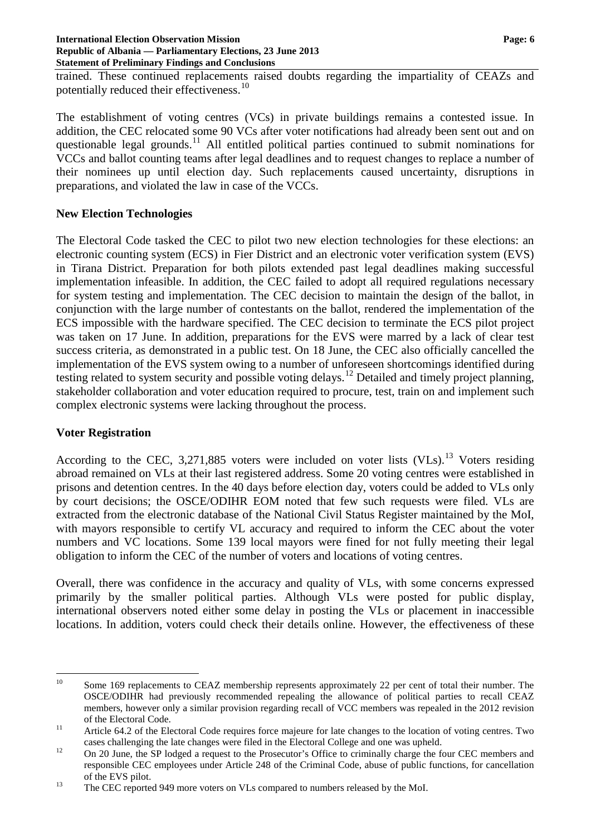#### **International Election Observation Mission Page: 6 Republic of Albania — Parliamentary Elections, 23 June 2013 Statement of Preliminary Findings and Conclusions**

trained. These continued replacements raised doubts regarding the impartiality of CEAZs and potentially reduced their effectiveness.<sup>[10](#page-5-0)</sup>

The establishment of voting centres (VCs) in private buildings remains a contested issue. In addition, the CEC relocated some 90 VCs after voter notifications had already been sent out and on questionable legal grounds.<sup>[11](#page-5-1)</sup> All entitled political parties continued to submit nominations for VCCs and ballot counting teams after legal deadlines and to request changes to replace a number of their nominees up until election day. Such replacements caused uncertainty, disruptions in preparations, and violated the law in case of the VCCs.

### **New Election Technologies**

The Electoral Code tasked the CEC to pilot two new election technologies for these elections: an electronic counting system (ECS) in Fier District and an electronic voter verification system (EVS) in Tirana District. Preparation for both pilots extended past legal deadlines making successful implementation infeasible. In addition, the CEC failed to adopt all required regulations necessary for system testing and implementation. The CEC decision to maintain the design of the ballot, in conjunction with the large number of contestants on the ballot, rendered the implementation of the ECS impossible with the hardware specified. The CEC decision to terminate the ECS pilot project was taken on 17 June. In addition, preparations for the EVS were marred by a lack of clear test success criteria, as demonstrated in a public test. On 18 June, the CEC also officially cancelled the implementation of the EVS system owing to a number of unforeseen shortcomings identified during testing related to system security and possible voting delays.<sup>[12](#page-5-2)</sup> Detailed and timely project planning, stakeholder collaboration and voter education required to procure, test, train on and implement such complex electronic systems were lacking throughout the process.

### **Voter Registration**

According to the CEC, 3,271,885 voters were included on voter lists  $(VLs)$ .<sup>[13](#page-5-3)</sup> Voters residing abroad remained on VLs at their last registered address. Some 20 voting centres were established in prisons and detention centres. In the 40 days before election day, voters could be added to VLs only by court decisions; the OSCE/ODIHR EOM noted that few such requests were filed. VLs are extracted from the electronic database of the National Civil Status Register maintained by the MoI, with mayors responsible to certify VL accuracy and required to inform the CEC about the voter numbers and VC locations. Some 139 local mayors were fined for not fully meeting their legal obligation to inform the CEC of the number of voters and locations of voting centres.

Overall, there was confidence in the accuracy and quality of VLs, with some concerns expressed primarily by the smaller political parties. Although VLs were posted for public display, international observers noted either some delay in posting the VLs or placement in inaccessible locations. In addition, voters could check their details online. However, the effectiveness of these

<span id="page-5-0"></span><sup>&</sup>lt;sup>10</sup> Some 169 replacements to CEAZ membership represents approximately 22 per cent of total their number. The OSCE/ODIHR had previously recommended repealing the allowance of political parties to recall CEAZ members, however only a similar provision regarding recall of VCC members was repealed in the 2012 revision of the Electoral Code.<br><sup>11</sup> Article 64.2 of the Electoral Code requires force majeure for late changes to the location of voting centres. Two

<span id="page-5-1"></span>cases challenging the late changes were filed in the Electoral College and one was upheld.<br><sup>12</sup> On 20 June, the SP lodged a request to the Prosecutor's Office to criminally charge the four CEC members and

<span id="page-5-2"></span>responsible CEC employees under Article 248 of the Criminal Code, abuse of public functions, for cancellation of the EVS pilot.<br>
The CEC reported 949 more voters on VLs compared to numbers released by the MoI.

<span id="page-5-3"></span>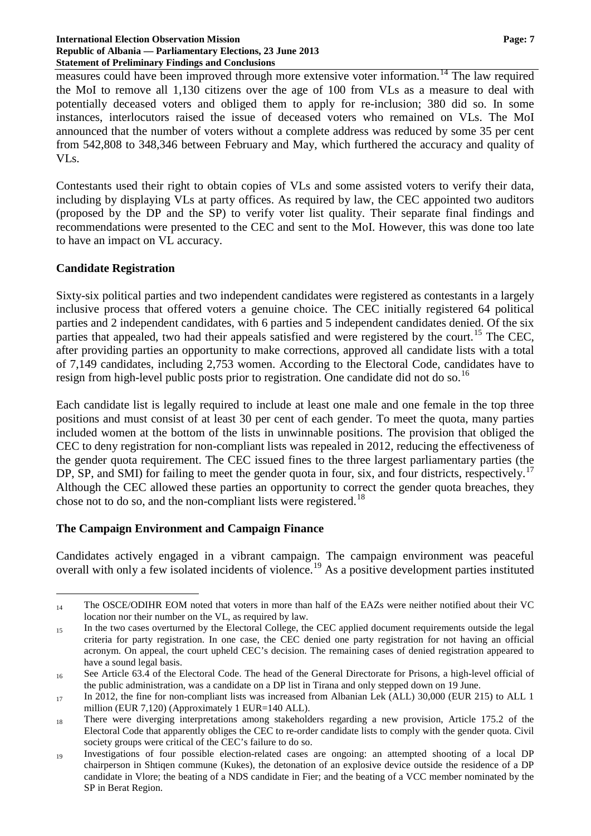#### **International Election Observation Mission Page: 7 Republic of Albania — Parliamentary Elections, 23 June 2013 Statement of Preliminary Findings and Conclusions**

measures could have been improved through more extensive voter information.<sup>[14](#page-6-0)</sup> The law required the MoI to remove all 1,130 citizens over the age of 100 from VLs as a measure to deal with potentially deceased voters and obliged them to apply for re-inclusion; 380 did so. In some instances, interlocutors raised the issue of deceased voters who remained on VLs. The MoI announced that the number of voters without a complete address was reduced by some 35 per cent from 542,808 to 348,346 between February and May, which furthered the accuracy and quality of VLs.

Contestants used their right to obtain copies of VLs and some assisted voters to verify their data, including by displaying VLs at party offices. As required by law, the CEC appointed two auditors (proposed by the DP and the SP) to verify voter list quality. Their separate final findings and recommendations were presented to the CEC and sent to the MoI. However, this was done too late to have an impact on VL accuracy.

#### **Candidate Registration**

Sixty-six political parties and two independent candidates were registered as contestants in a largely inclusive process that offered voters a genuine choice. The CEC initially registered 64 political parties and 2 independent candidates, with 6 parties and 5 independent candidates denied. Of the six parties that appealed, two had their appeals satisfied and were registered by the court.<sup>[15](#page-6-1)</sup> The CEC, after providing parties an opportunity to make corrections, approved all candidate lists with a total of 7,149 candidates, including 2,753 women. According to the Electoral Code, candidates have to resign from high-level public posts prior to registration. One candidate did not do so.<sup>[16](#page-6-2)</sup>

Each candidate list is legally required to include at least one male and one female in the top three positions and must consist of at least 30 per cent of each gender. To meet the quota, many parties included women at the bottom of the lists in unwinnable positions. The provision that obliged the CEC to deny registration for non-compliant lists was repealed in 2012, reducing the effectiveness of the gender quota requirement. The CEC issued fines to the three largest parliamentary parties (the DP, SP, and SMI) for failing to meet the gender quota in four, six, and four districts, respectively.<sup>[17](#page-6-3)</sup> Although the CEC allowed these parties an opportunity to correct the gender quota breaches, they chose not to do so, and the non-compliant lists were registered.<sup>[18](#page-6-4)</sup>

### **The Campaign Environment and Campaign Finance**

Candidates actively engaged in a vibrant campaign. The campaign environment was peaceful overall with only a few isolated incidents of violence.<sup>[19](#page-6-5)</sup> As a positive development parties instituted

<span id="page-6-0"></span> $\overline{a}$ 14 The OSCE/ODIHR EOM noted that voters in more than half of the EAZs were neither notified about their VC location nor their number on the VL, as required by law.

<span id="page-6-1"></span><sup>15</sup> In the two cases overturned by the Electoral College, the CEC applied document requirements outside the legal criteria for party registration. In one case, the CEC denied one party registration for not having an official acronym. On appeal, the court upheld CEC's decision. The remaining cases of denied registration appeared to have a sound legal basis.

<span id="page-6-2"></span><sup>16</sup> See Article 63.4 of the Electoral Code. The head of the General Directorate for Prisons, a high-level official of the public administration, was a candidate on a DP list in Tirana and only stepped down on 19 June.

<span id="page-6-3"></span><sup>17</sup> In 2012, the fine for non-compliant lists was increased from Albanian Lek (ALL) 30,000 (EUR 215) to ALL 1 million (EUR 7,120) (Approximately 1 EUR=140 ALL).

<span id="page-6-4"></span><sup>18</sup> There were diverging interpretations among stakeholders regarding a new provision, Article 175.2 of the Electoral Code that apparently obliges the CEC to re-order candidate lists to comply with the gender quota. Civil society groups were critical of the CEC's failure to do so.

<span id="page-6-5"></span><sup>19</sup> Investigations of four possible election-related cases are ongoing: an attempted shooting of a local DP chairperson in Shtiqen commune (Kukes), the detonation of an explosive device outside the residence of a DP candidate in Vlore; the beating of a NDS candidate in Fier; and the beating of a VCC member nominated by the SP in Berat Region.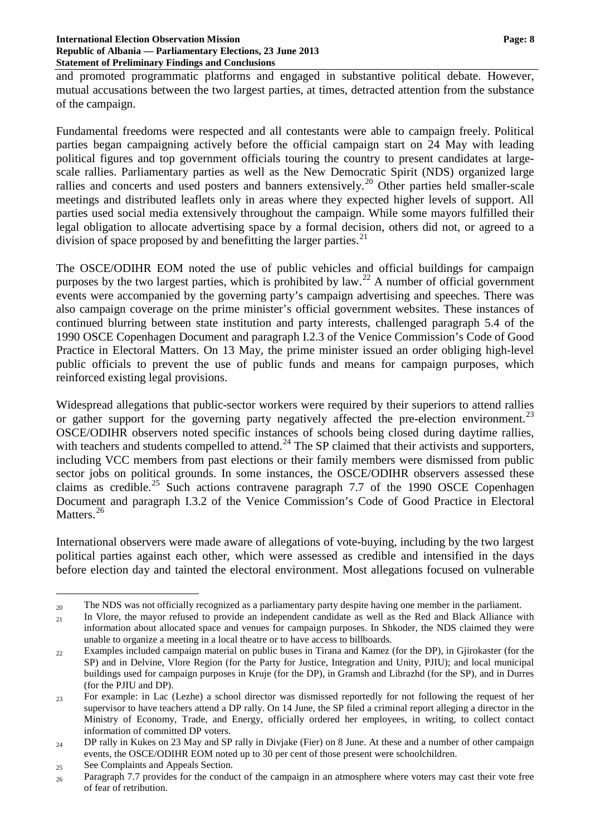and promoted programmatic platforms and engaged in substantive political debate. However, mutual accusations between the two largest parties, at times, detracted attention from the substance of the campaign.

Fundamental freedoms were respected and all contestants were able to campaign freely. Political parties began campaigning actively before the official campaign start on 24 May with leading political figures and top government officials touring the country to present candidates at largescale rallies. Parliamentary parties as well as the New Democratic Spirit (NDS) organized large rallies and concerts and used posters and banners extensively.<sup>[20](#page-7-0)</sup> Other parties held smaller-scale meetings and distributed leaflets only in areas where they expected higher levels of support. All parties used social media extensively throughout the campaign. While some mayors fulfilled their legal obligation to allocate advertising space by a formal decision, others did not, or agreed to a division of space proposed by and benefitting the larger parties.<sup>[21](#page-7-1)</sup>

The OSCE/ODIHR EOM noted the use of public vehicles and official buildings for campaign purposes by the two largest parties, which is prohibited by law.<sup>[22](#page-7-2)</sup> A number of official government events were accompanied by the governing party's campaign advertising and speeches. There was also campaign coverage on the prime minister's official government websites. These instances of continued blurring between state institution and party interests, challenged paragraph 5.4 of the 1990 OSCE Copenhagen Document and paragraph I.2.3 of the Venice Commission's Code of Good Practice in Electoral Matters. On 13 May, the prime minister issued an order obliging high-level public officials to prevent the use of public funds and means for campaign purposes, which reinforced existing legal provisions.

Widespread allegations that public-sector workers were required by their superiors to attend rallies or gather support for the governing party negatively affected the pre-election environment.<sup>[23](#page-7-3)</sup> OSCE/ODIHR observers noted specific instances of schools being closed during daytime rallies, with teachers and students compelled to attend.<sup>[24](#page-7-4)</sup> The SP claimed that their activists and supporters, including VCC members from past elections or their family members were dismissed from public sector jobs on political grounds. In some instances, the OSCE/ODIHR observers assessed these claims as credible.<sup>[25](#page-7-5)</sup> Such actions contravene paragraph 7.7 of the 1990 OSCE Copenhagen Document and paragraph I.3.2 of the Venice Commission's Code of Good Practice in Electoral Matters.<sup>[26](#page-7-6)</sup>

International observers were made aware of allegations of vote-buying, including by the two largest political parties against each other, which were assessed as credible and intensified in the days before election day and tainted the electoral environment. Most allegations focused on vulnerable

 $\overline{a}$ <sup>20</sup> The NDS was not officially recognized as a parliamentary party despite having one member in the parliament.

<span id="page-7-1"></span><span id="page-7-0"></span><sup>21</sup> In Vlore, the mayor refused to provide an independent candidate as well as the Red and Black Alliance with information about allocated space and venues for campaign purposes. In Shkoder, the NDS claimed they were unable to organize a meeting in a local theatre or to have access to billboards.

<span id="page-7-2"></span><sup>22</sup> Examples included campaign material on public buses in Tirana and Kamez (for the DP), in Gjirokaster (for the SP) and in Delvine, Vlore Region (for the Party for Justice, Integration and Unity, PJIU); and local municipal buildings used for campaign purposes in Kruje (for the DP), in Gramsh and Librazhd (for the SP), and in Durres (for the PJIU and DP).

<span id="page-7-3"></span><sup>23</sup> For example: in Lac (Lezhe) a school director was dismissed reportedly for not following the request of her supervisor to have teachers attend a DP rally. On 14 June, the SP filed a criminal report alleging a director in the Ministry of Economy, Trade, and Energy, officially ordered her employees, in writing, to collect contact information of committed DP voters.

<span id="page-7-4"></span> $_{24}$  DP rally in Kukes on 23 May and SP rally in Divjake (Fier) on 8 June. At these and a number of other campaign events, the OSCE/ODIHR EOM noted up to 30 per cent of those present were schoolchildren.

<span id="page-7-5"></span><sup>&</sup>lt;sub>25</sub> See Complaints and Appeals Section.

<span id="page-7-6"></span><sup>26</sup> Paragraph 7.7 provides for the conduct of the campaign in an atmosphere where voters may cast their vote free of fear of retribution.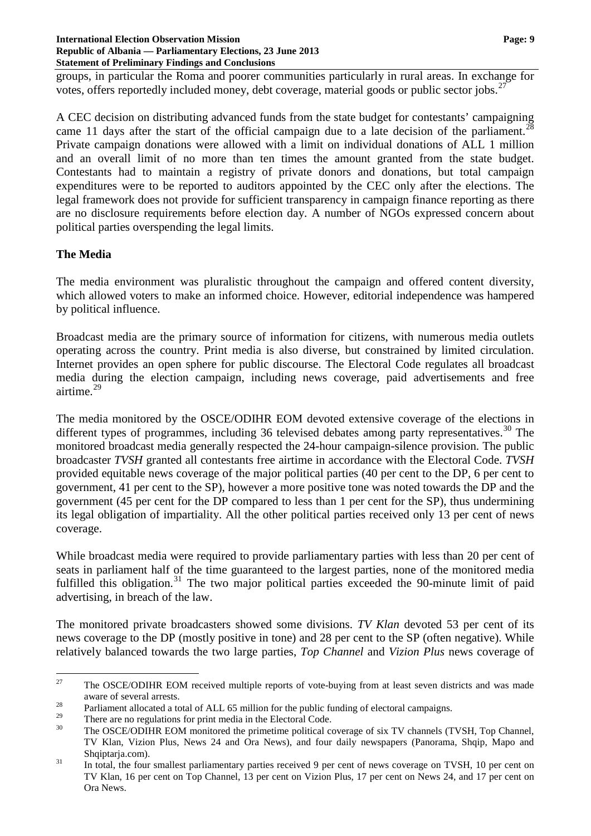groups, in particular the Roma and poorer communities particularly in rural areas. In exchange for votes, offers reportedly included money, debt coverage, material goods or public sector jobs.<sup>[27](#page-8-0)</sup>

A CEC decision on distributing advanced funds from the state budget for contestants' campaigning came 11 days after the start of the official campaign due to a late decision of the parliament.<sup>[28](#page-8-1)</sup> Private campaign donations were allowed with a limit on individual donations of ALL 1 million and an overall limit of no more than ten times the amount granted from the state budget. Contestants had to maintain a registry of private donors and donations, but total campaign expenditures were to be reported to auditors appointed by the CEC only after the elections. The legal framework does not provide for sufficient transparency in campaign finance reporting as there are no disclosure requirements before election day. A number of NGOs expressed concern about political parties overspending the legal limits.

### **The Media**

The media environment was pluralistic throughout the campaign and offered content diversity, which allowed voters to make an informed choice. However, editorial independence was hampered by political influence.

Broadcast media are the primary source of information for citizens, with numerous media outlets operating across the country. Print media is also diverse, but constrained by limited circulation. Internet provides an open sphere for public discourse. The Electoral Code regulates all broadcast media during the election campaign, including news coverage, paid advertisements and free airtime.[29](#page-8-2)

The media monitored by the OSCE/ODIHR EOM devoted extensive coverage of the elections in different types of programmes, including 36 televised debates among party representatives.<sup>[30](#page-8-3)</sup> The monitored broadcast media generally respected the 24-hour campaign-silence provision. The public broadcaster *TVSH* granted all contestants free airtime in accordance with the Electoral Code. *TVSH* provided equitable news coverage of the major political parties (40 per cent to the DP, 6 per cent to government, 41 per cent to the SP), however a more positive tone was noted towards the DP and the government (45 per cent for the DP compared to less than 1 per cent for the SP), thus undermining its legal obligation of impartiality. All the other political parties received only 13 per cent of news coverage.

While broadcast media were required to provide parliamentary parties with less than 20 per cent of seats in parliament half of the time guaranteed to the largest parties, none of the monitored media fulfilled this obligation.<sup>[31](#page-8-4)</sup> The two major political parties exceeded the 90-minute limit of paid advertising, in breach of the law.

The monitored private broadcasters showed some divisions. *TV Klan* devoted 53 per cent of its news coverage to the DP (mostly positive in tone) and 28 per cent to the SP (often negative). While relatively balanced towards the two large parties, *Top Channel* and *Vizion Plus* news coverage of

<span id="page-8-0"></span><sup>&</sup>lt;sup>27</sup> The OSCE/ODIHR EOM received multiple reports of vote-buying from at least seven districts and was made

<span id="page-8-1"></span>aware of several arrests.<br><sup>28</sup> Parliament allocated a total of ALL 65 million for the public funding of electoral campaigns.

<span id="page-8-2"></span>

<span id="page-8-3"></span><sup>&</sup>lt;sup>29</sup> There are no regulations for print media in the Electoral Code.<br><sup>30</sup> The OSCE/ODIHR EOM monitored the primetime political coverage of six TV channels (TVSH, Top Channel, TV Klan, Vizion Plus, News 24 and Ora News), and four daily newspapers (Panorama, Shqip, Mapo and

<span id="page-8-4"></span>Shqiptarja.com).<br><sup>31</sup> In total, the four smallest parliamentary parties received 9 per cent of news coverage on TVSH, 10 per cent on TV Klan, 16 per cent on Top Channel, 13 per cent on Vizion Plus, 17 per cent on News 24, and 17 per cent on Ora News.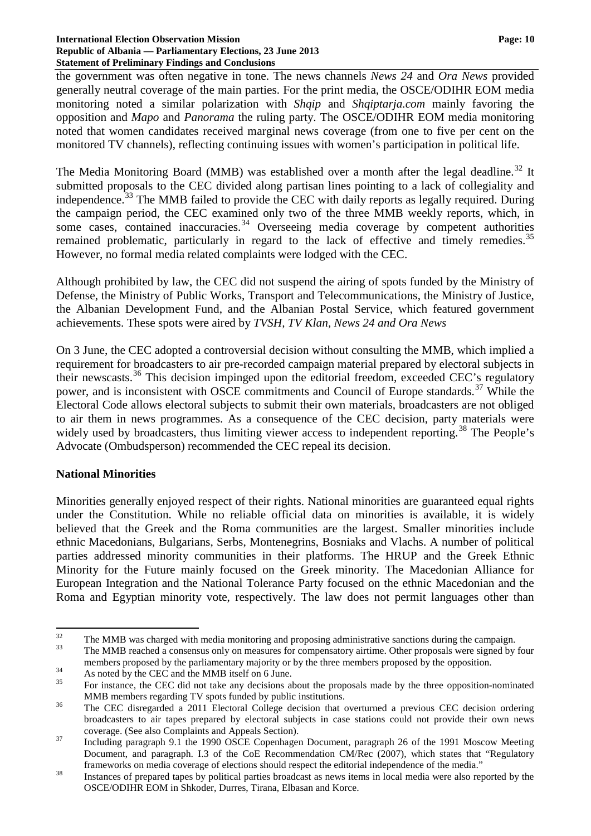#### **International Election Observation Mission Page: 10 Republic of Albania — Parliamentary Elections, 23 June 2013 Statement of Preliminary Findings and Conclusions**

the government was often negative in tone. The news channels *News 24* and *Ora News* provided generally neutral coverage of the main parties. For the print media, the OSCE/ODIHR EOM media monitoring noted a similar polarization with *Shqip* and *Shqiptarja.com* mainly favoring the opposition and *Mapo* and *Panorama* the ruling party. The OSCE/ODIHR EOM media monitoring noted that women candidates received marginal news coverage (from one to five per cent on the monitored TV channels), reflecting continuing issues with women's participation in political life.

The Media Monitoring Board (MMB) was established over a month after the legal deadline.<sup>[32](#page-9-0)</sup> It submitted proposals to the CEC divided along partisan lines pointing to a lack of collegiality and independence.<sup>[33](#page-9-1)</sup> The MMB failed to provide the CEC with daily reports as legally required. During the campaign period, the CEC examined only two of the three MMB weekly reports, which, in some cases, contained inaccuracies. $34$  Overseeing media coverage by competent authorities remained problematic, particularly in regard to the lack of effective and timely remedies.<sup>[35](#page-9-3)</sup> However, no formal media related complaints were lodged with the CEC.

Although prohibited by law, the CEC did not suspend the airing of spots funded by the Ministry of Defense, the Ministry of Public Works, Transport and Telecommunications, the Ministry of Justice, the Albanian Development Fund, and the Albanian Postal Service, which featured government achievements. These spots were aired by *TVSH, TV Klan, News 24 and Ora News* 

On 3 June, the CEC adopted a controversial decision without consulting the MMB, which implied a requirement for broadcasters to air pre-recorded campaign material prepared by electoral subjects in their newscasts.[36](#page-9-4) This decision impinged upon the editorial freedom, exceeded CEC's regulatory power, and is inconsistent with OSCE commitments and Council of Europe standards.<sup>[37](#page-9-5)</sup> While the Electoral Code allows electoral subjects to submit their own materials, broadcasters are not obliged to air them in news programmes. As a consequence of the CEC decision, party materials were widely used by broadcasters, thus limiting viewer access to independent reporting.<sup>[38](#page-9-6)</sup> The People's Advocate (Ombudsperson) recommended the CEC repeal its decision.

### **National Minorities**

Minorities generally enjoyed respect of their rights. National minorities are guaranteed equal rights under the Constitution. While no reliable official data on minorities is available, it is widely believed that the Greek and the Roma communities are the largest. Smaller minorities include ethnic Macedonians, Bulgarians, Serbs, Montenegrins, Bosniaks and Vlachs. A number of political parties addressed minority communities in their platforms. The HRUP and the Greek Ethnic Minority for the Future mainly focused on the Greek minority. The Macedonian Alliance for European Integration and the National Tolerance Party focused on the ethnic Macedonian and the Roma and Egyptian minority vote, respectively. The law does not permit languages other than

<span id="page-9-2"></span>

<span id="page-9-0"></span> $32$  The MMB was charged with media monitoring and proposing administrative sanctions during the campaign.<br>33 The MMB reached a consensus only on measures for compensatory airtime. Other proposals were signed by four

<span id="page-9-1"></span>members proposed by the parliamentary majority or by the three members proposed by the opposition.<br>As noted by the CEC and the MMB itself on 6 June.<br>For instance, the CEC did not take any decisions about the proposals made

<span id="page-9-3"></span>

<span id="page-9-4"></span>MMB members regarding TV spots funded by public institutions.<br><sup>36</sup> The CEC disregarded a 2011 Electoral College decision that overturned a previous CEC decision ordering broadcasters to air tapes prepared by electoral subjects in case stations could not provide their own news

<span id="page-9-5"></span>coverage. (See also Complaints and Appeals Section). <sup>37</sup> Including paragraph 9.1 the 1990 OSCE Copenhagen Document, paragraph 26 of the 1991 Moscow Meeting Document, and paragraph. I.3 of the CoE Recommendation CM/Rec (2007), which states that "Regulatory

<span id="page-9-6"></span>frameworks on media coverage of elections should respect the editorial independence of the media." Instances of prepared tapes by political parties broadcast as news items in local media were also reported by the OSCE/ODIHR EOM in Shkoder, Durres, Tirana, Elbasan and Korce.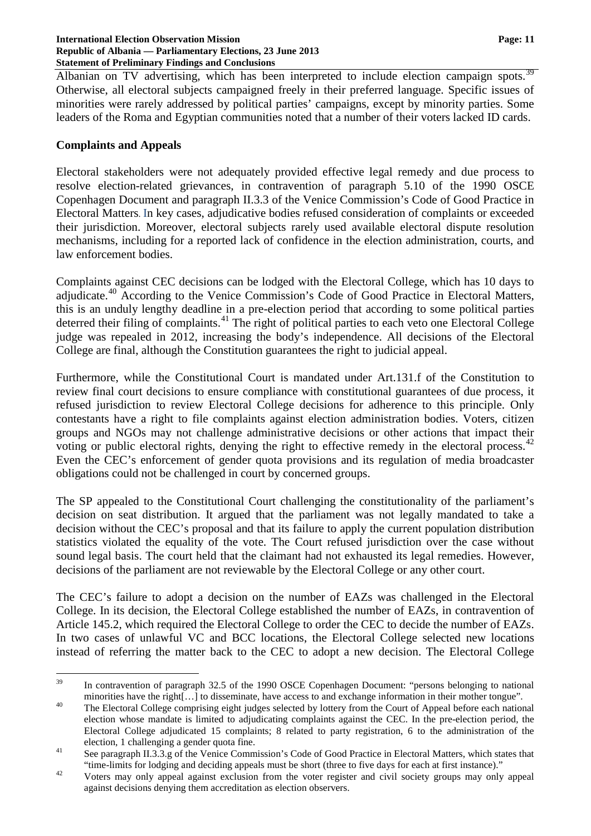Albanian on TV advertising, which has been interpreted to include election campaign spots.<sup>3</sup> Otherwise, all electoral subjects campaigned freely in their preferred language. Specific issues of minorities were rarely addressed by political parties' campaigns, except by minority parties. Some leaders of the Roma and Egyptian communities noted that a number of their voters lacked ID cards.

#### **Complaints and Appeals**

Electoral stakeholders were not adequately provided effective legal remedy and due process to resolve election-related grievances, in contravention of paragraph 5.10 of the 1990 OSCE Copenhagen Document and paragraph II.3.3 of the Venice Commission's Code of Good Practice in Electoral Matters. In key cases, adjudicative bodies refused consideration of complaints or exceeded their jurisdiction. Moreover, electoral subjects rarely used available electoral dispute resolution mechanisms, including for a reported lack of confidence in the election administration, courts, and law enforcement bodies.

Complaints against CEC decisions can be lodged with the Electoral College, which has 10 days to adjudicate.<sup>[40](#page-10-1)</sup> According to the Venice Commission's Code of Good Practice in Electoral Matters, this is an unduly lengthy deadline in a pre-election period that according to some political parties deterred their filing of complaints.<sup>[41](#page-10-2)</sup> The right of political parties to each veto one Electoral College judge was repealed in 2012, increasing the body's independence. All decisions of the Electoral College are final, although the Constitution guarantees the right to judicial appeal.

Furthermore, while the Constitutional Court is mandated under Art.131.f of the Constitution to review final court decisions to ensure compliance with constitutional guarantees of due process, it refused jurisdiction to review Electoral College decisions for adherence to this principle. Only contestants have a right to file complaints against election administration bodies. Voters, citizen groups and NGOs may not challenge administrative decisions or other actions that impact their voting or public electoral rights, denying the right to effective remedy in the electoral process.<sup>[42](#page-10-3)</sup> Even the CEC's enforcement of gender quota provisions and its regulation of media broadcaster obligations could not be challenged in court by concerned groups.

The SP appealed to the Constitutional Court challenging the constitutionality of the parliament's decision on seat distribution. It argued that the parliament was not legally mandated to take a decision without the CEC's proposal and that its failure to apply the current population distribution statistics violated the equality of the vote. The Court refused jurisdiction over the case without sound legal basis. The court held that the claimant had not exhausted its legal remedies. However, decisions of the parliament are not reviewable by the Electoral College or any other court.

The CEC's failure to adopt a decision on the number of EAZs was challenged in the Electoral College. In its decision, the Electoral College established the number of EAZs, in contravention of Article 145.2, which required the Electoral College to order the CEC to decide the number of EAZs. In two cases of unlawful VC and BCC locations, the Electoral College selected new locations instead of referring the matter back to the CEC to adopt a new decision. The Electoral College

<span id="page-10-0"></span><sup>&</sup>lt;sup>39</sup> In contravention of paragraph 32.5 of the 1990 OSCE Copenhagen Document: "persons belonging to national

<span id="page-10-1"></span>minorities have the right[…] to disseminate, have access to and exchange information in their mother tongue".<br>The Electoral College comprising eight judges selected by lottery from the Court of Appeal before each national election whose mandate is limited to adjudicating complaints against the CEC. In the pre-election period, the Electoral College adjudicated 15 complaints; 8 related to party registration, 6 to the administration of the election, 1 challenging a gender quota fine.<br>
See paragraph II.3.3.g of the Venice Commission's Code of Good Practice in Electoral Matters, which states that

<span id="page-10-2"></span><sup>&</sup>quot;time-limits for lodging and deciding appeals must be short (three to five days for each at first instance)." 42 Voters may only appeal against exclusion from the voter register and civil society groups may only appeal

<span id="page-10-3"></span>against decisions denying them accreditation as election observers.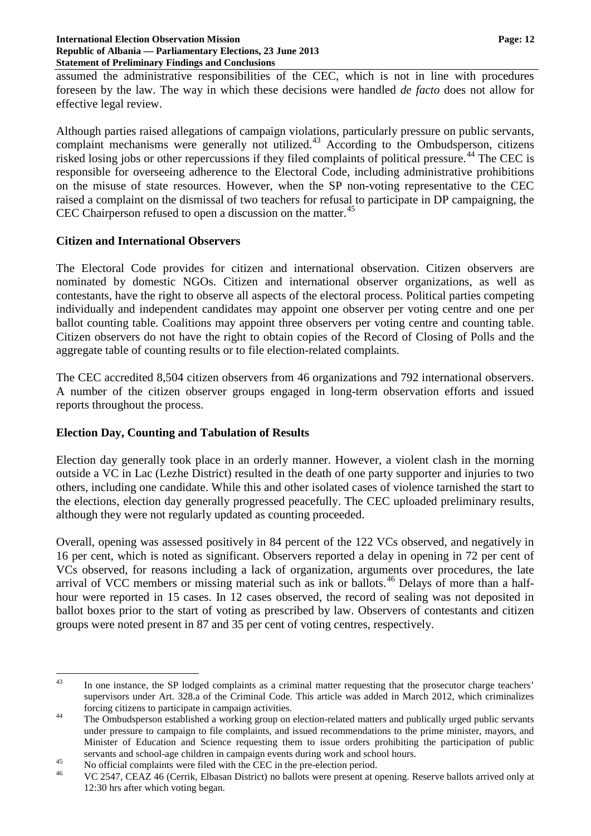assumed the administrative responsibilities of the CEC, which is not in line with procedures foreseen by the law. The way in which these decisions were handled *de facto* does not allow for effective legal review.

Although parties raised allegations of campaign violations, particularly pressure on public servants, complaint mechanisms were generally not utilized.<sup>[43](#page-11-0)</sup> According to the Ombudsperson, citizens risked losing jobs or other repercussions if they filed complaints of political pressure.<sup>[44](#page-11-1)</sup> The CEC is responsible for overseeing adherence to the Electoral Code, including administrative prohibitions on the misuse of state resources. However, when the SP non-voting representative to the CEC raised a complaint on the dismissal of two teachers for refusal to participate in DP campaigning, the CEC Chairperson refused to open a discussion on the matter.<sup>[45](#page-11-2)</sup>

### **Citizen and International Observers**

The Electoral Code provides for citizen and international observation. Citizen observers are nominated by domestic NGOs. Citizen and international observer organizations, as well as contestants, have the right to observe all aspects of the electoral process. Political parties competing individually and independent candidates may appoint one observer per voting centre and one per ballot counting table. Coalitions may appoint three observers per voting centre and counting table. Citizen observers do not have the right to obtain copies of the Record of Closing of Polls and the aggregate table of counting results or to file election-related complaints.

The CEC accredited 8,504 citizen observers from 46 organizations and 792 international observers. A number of the citizen observer groups engaged in long-term observation efforts and issued reports throughout the process.

### **Election Day, Counting and Tabulation of Results**

Election day generally took place in an orderly manner. However, a violent clash in the morning outside a VC in Lac (Lezhe District) resulted in the death of one party supporter and injuries to two others, including one candidate. While this and other isolated cases of violence tarnished the start to the elections, election day generally progressed peacefully. The CEC uploaded preliminary results, although they were not regularly updated as counting proceeded.

Overall, opening was assessed positively in 84 percent of the 122 VCs observed, and negatively in 16 per cent, which is noted as significant. Observers reported a delay in opening in 72 per cent of VCs observed, for reasons including a lack of organization, arguments over procedures, the late arrival of VCC members or missing material such as ink or ballots.[46](#page-11-3) Delays of more than a halfhour were reported in 15 cases. In 12 cases observed, the record of sealing was not deposited in ballot boxes prior to the start of voting as prescribed by law. Observers of contestants and citizen groups were noted present in 87 and 35 per cent of voting centres, respectively.

<span id="page-11-0"></span><sup>&</sup>lt;sup>43</sup> In one instance, the SP lodged complaints as a criminal matter requesting that the prosecutor charge teachers' supervisors under Art. 328.a of the Criminal Code. This article was added in March 2012, which criminalizes

<span id="page-11-1"></span>forcing citizens to participate in campaign activities. <sup>44</sup> The Ombudsperson established a working group on election-related matters and publically urged public servants under pressure to campaign to file complaints, and issued recommendations to the prime minister, mayors, and Minister of Education and Science requesting them to issue orders prohibiting the participation of public servants and school-age children in campaign events during work and school hours.<br>No official complaints were filed with the CEC in the pre-election period.<br>VC 2547, CEAZ 46 (Cerrik, Elbasan District) no ballots were prese

<span id="page-11-2"></span>

<span id="page-11-3"></span><sup>12:30</sup> hrs after which voting began.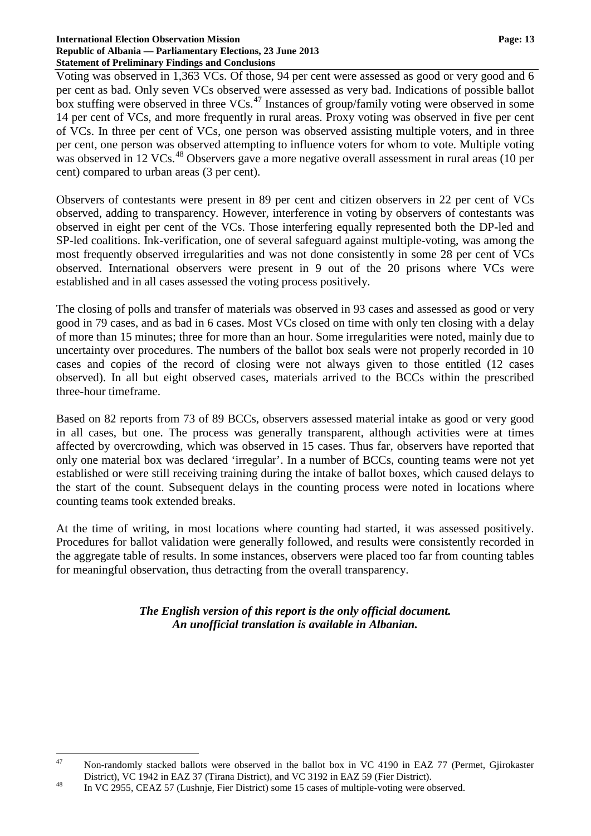#### **International Election Observation Mission Page: 13 Republic of Albania — Parliamentary Elections, 23 June 2013 Statement of Preliminary Findings and Conclusions**

Voting was observed in 1,363 VCs. Of those, 94 per cent were assessed as good or very good and 6 per cent as bad. Only seven VCs observed were assessed as very bad. Indications of possible ballot box stuffing were observed in three  $VCs$ <sup>[47](#page-12-0)</sup> Instances of group/family voting were observed in some 14 per cent of VCs, and more frequently in rural areas. Proxy voting was observed in five per cent of VCs. In three per cent of VCs, one person was observed assisting multiple voters, and in three per cent, one person was observed attempting to influence voters for whom to vote. Multiple voting was observed in 12 VCs.<sup>[48](#page-12-1)</sup> Observers gave a more negative overall assessment in rural areas (10 per cent) compared to urban areas (3 per cent).

Observers of contestants were present in 89 per cent and citizen observers in 22 per cent of VCs observed, adding to transparency. However, interference in voting by observers of contestants was observed in eight per cent of the VCs. Those interfering equally represented both the DP-led and SP-led coalitions. Ink-verification, one of several safeguard against multiple-voting, was among the most frequently observed irregularities and was not done consistently in some 28 per cent of VCs observed. International observers were present in 9 out of the 20 prisons where VCs were established and in all cases assessed the voting process positively.

The closing of polls and transfer of materials was observed in 93 cases and assessed as good or very good in 79 cases, and as bad in 6 cases. Most VCs closed on time with only ten closing with a delay of more than 15 minutes; three for more than an hour. Some irregularities were noted, mainly due to uncertainty over procedures. The numbers of the ballot box seals were not properly recorded in 10 cases and copies of the record of closing were not always given to those entitled (12 cases observed). In all but eight observed cases, materials arrived to the BCCs within the prescribed three-hour timeframe.

Based on 82 reports from 73 of 89 BCCs, observers assessed material intake as good or very good in all cases, but one. The process was generally transparent, although activities were at times affected by overcrowding, which was observed in 15 cases. Thus far, observers have reported that only one material box was declared 'irregular'. In a number of BCCs, counting teams were not yet established or were still receiving training during the intake of ballot boxes, which caused delays to the start of the count. Subsequent delays in the counting process were noted in locations where counting teams took extended breaks.

At the time of writing, in most locations where counting had started, it was assessed positively. Procedures for ballot validation were generally followed, and results were consistently recorded in the aggregate table of results. In some instances, observers were placed too far from counting tables for meaningful observation, thus detracting from the overall transparency.

> *The English version of this report is the only official document. An unofficial translation is available in Albanian.*

<span id="page-12-0"></span><sup>&</sup>lt;sup>47</sup> Non-randomly stacked ballots were observed in the ballot box in VC 4190 in EAZ 77 (Permet, Gjirokaster

<span id="page-12-1"></span>District), VC 1942 in EAZ 37 (Tirana District), and VC 3192 in EAZ 59 (Fier District).<br><sup>48</sup> In VC 2955, CEAZ 57 (Lushnje, Fier District) some 15 cases of multiple-voting were observed.